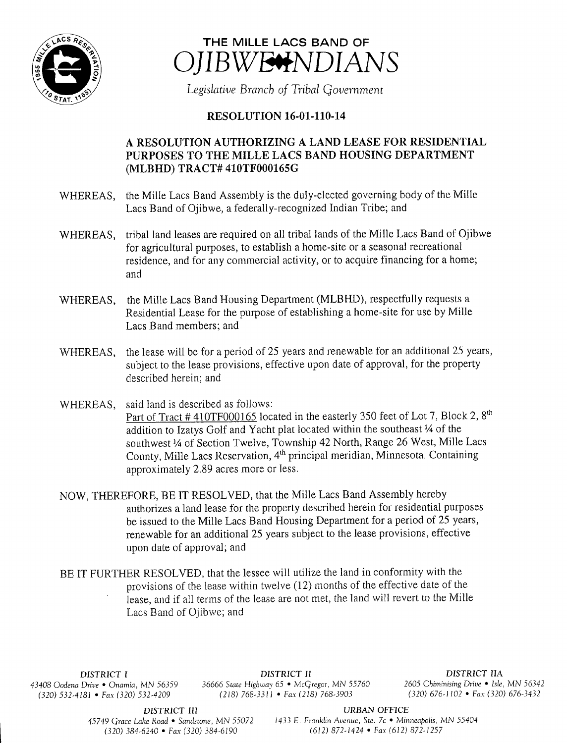



Legislative Branch of Tribal Government

## RESOLUTION 16-01-110-14

## A RESOLUTION AUTHORIZING A LAND LEASE FOR RESIDENTIAL PURPOSES TO THE MILLE LACS BAND HOUSING DEPARTMENT MLBHD) TRACT# 410TF000165G

- WHEREAS, the Mille Lacs Band Assembly is the duly-elected governing body of the Mille Lacs Band of Ojibwe, a federally-recognized Indian Tribe; and
- WHEREAS, tribal land leases are required on all tribal lands of the Mille Lacs Band of Ojibwe for agricultural purposes, to establish <sup>a</sup> home- site or a seasonal recreational residence, and for any commercial activity, or to acquire financing for <sup>a</sup> home; and
- WHEREAS, the Mille Lacs Band Housing Department (MLBHD), respectfully requests <sup>a</sup> Residential Lease for the purpose of establishing a home-site for use by Mille Lacs Band members; and
- WHEREAS, the lease will be for a period of 25 years and renewable for an additional 25 years, subject to the lease provisions, effective upon date of approval, for the property described herein; and
- WHEREAS, said land is described as follows: Part of Tract # 410TF000165 located in the easterly 350 feet of Lot 7, Block 2, 8<sup>th</sup> addition to Izatys Golf and Yacht plat located within the southeast 1/4 of the southwest 1/4 of Section Twelve, Township 42 North, Range 26 West, Mille Lacs County, Mille Lacs Reservation, 4<sup>th</sup> principal meridian, Minnesota. Containing approximately 2. 89 acres more or less.
- NOW, THEREFORE, BE IT RESOLVED, that the Mille Lacs Band Assembly hereby authorizes <sup>a</sup> land lease for the property described herein for residential purposes be issued to the Mille Lacs Band Housing Department for <sup>a</sup> period of 25 years, renewable for an additional 25 years subject to the lease provisions, effective upon date of approval; and
- BE IT FURTHER RESOLVED, that the lessee will utilize the land in conformity with the provisions of the lease within twelve ( 12) months of the effective date of the lease, and if all terms of the lease are not met, the land will revert to the Mille Lacs Band of Ojibwe; and

 $(320)$  532-4181 • Fax(320) 532-4209

DISTRICT I **DISTRICT II**<br>Drive • Onamia, MN 56359 36666 State Highway 65 • McGregor, MN 55760 2605 Chiminising Drive • Isle, MN 56342 43408 Oodena Drive • Onamia, MN 56359 36666 State Highway 65 • McGregor, MN 55760 2605 Chiminising Drive • Isle, MN 5634.<br>(320) 576-3420 • Fax (320) 576-3432 (218) 768-3311 • Fax (218) 768-3903 (320) 676-1102 • Fax (320) 6

DISTRICT III URBAN OFFICE

45749 Grace Lake Road • Sandstone, MN 55072 1433 E. Franklin Avenue, Ste. 7c • Minneapolis, MN 55404 320) 384- 6240 • Fax( 320) 384- 6190 612) 872- 1424 • Fax( 612) 872- 1257